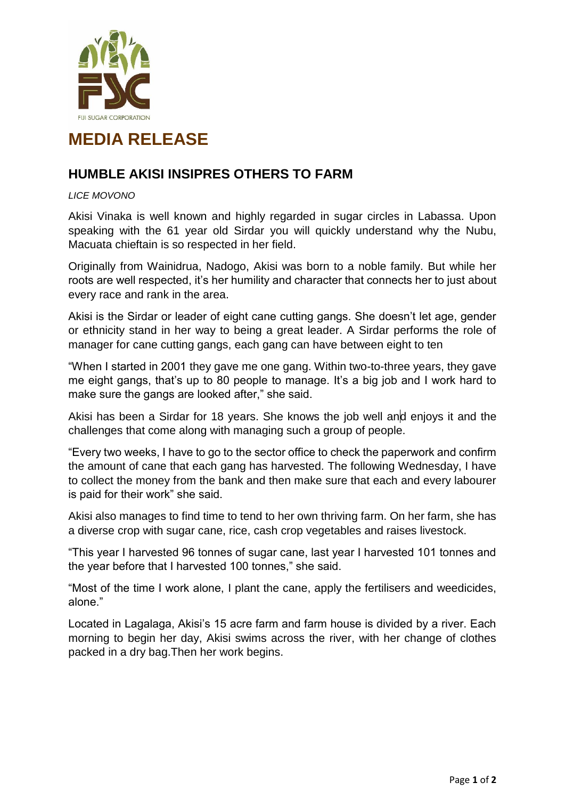

## **MEDIA RELEASE**

## **HUMBLE AKISI INSIPRES OTHERS TO FARM**

## *LICE MOVONO*

Akisi Vinaka is well known and highly regarded in sugar circles in Labassa. Upon speaking with the 61 year old Sirdar you will quickly understand why the Nubu, Macuata chieftain is so respected in her field.

Originally from Wainidrua, Nadogo, Akisi was born to a noble family. But while her roots are well respected, it's her humility and character that connects her to just about every race and rank in the area.

Akisi is the Sirdar or leader of eight cane cutting gangs. She doesn't let age, gender or ethnicity stand in her way to being a great leader. A Sirdar performs the role of manager for cane cutting gangs, each gang can have between eight to ten

"When I started in 2001 they gave me one gang. Within two-to-three years, they gave me eight gangs, that's up to 80 people to manage. It's a big job and I work hard to make sure the gangs are looked after," she said.

Akisi has been a Sirdar for 18 years. She knows the job well and enjoys it and the challenges that come along with managing such a group of people.

"Every two weeks, I have to go to the sector office to check the paperwork and confirm the amount of cane that each gang has harvested. The following Wednesday, I have to collect the money from the bank and then make sure that each and every labourer is paid for their work" she said.

Akisi also manages to find time to tend to her own thriving farm. On her farm, she has a diverse crop with sugar cane, rice, cash crop vegetables and raises livestock.

"This year I harvested 96 tonnes of sugar cane, last year I harvested 101 tonnes and the year before that I harvested 100 tonnes," she said.

"Most of the time I work alone, I plant the cane, apply the fertilisers and weedicides, alone."

Located in Lagalaga, Akisi's 15 acre farm and farm house is divided by a river. Each morning to begin her day, Akisi swims across the river, with her change of clothes packed in a dry bag.Then her work begins.